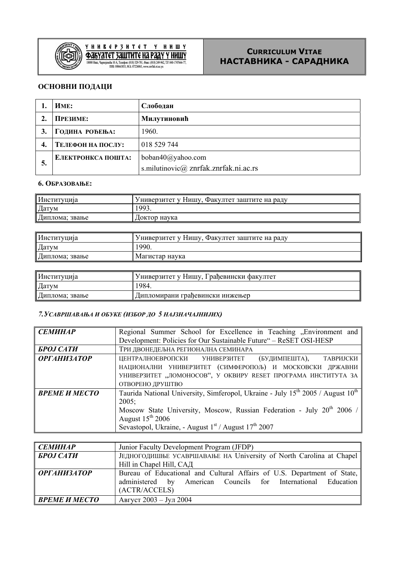

# $\underbrace{Y\ \text{H}\ \text{H}\ \text{B}\ \text{C}\ \text{P}\ \text{J}\ \text{H}\ \text{T}\ \text{C}\ \text{T}\quad Y\quad \text{H}\ \text{H}\ \text{H}\ \text{W}}_{\text{18000\,H}\text{mm,~}^{\text{H}}\text{45000\,9}\text{mm}}\underbrace{Y\ \text{J}\text{J}\text{H}\ \text{J}\text{H}\ \text{J}\text{C}\ \text{J}\ \text{J}\text{J}\text{J}\text{J}\text{J}\text{J}\text{J}\text{J}}_{\text{18000\,10}\text{mm,~}^{\text{H}}$

# **CURRICULUM VITAE НАСТАВНИКА - САРАДНИКА**

# **ОСНОВНИ ПОДАЦИ**

|    | <b><i>HME:</i></b> | Слободан                                                   |
|----|--------------------|------------------------------------------------------------|
|    | ПРЕЗИМЕ:           | Милутиновић                                                |
|    | ГОДИНА РОЂЕЊА:     | 1960.                                                      |
| 4. | ТЕЛЕФОН НА ПОСЛУ:  | 018 529 744                                                |
| 5. | ЕЛЕКТРОНКСА ПОШТА: | boban40@yahoo.com<br>s.milutinovic@ znrfak.znrfak.ni.ac.rs |

## **6. ОБРАЗОВАЊЕ:**

| Институција    | Универзитет у Нишу, Факултет заштите на раду |
|----------------|----------------------------------------------|
| Датум          | 1993.                                        |
| Диплома; звање | Доктор наука                                 |

| Институција    | «Универзитет у Нишу, Факултет заштите на раду |
|----------------|-----------------------------------------------|
| Датум          | 990.                                          |
| Диплома; звање | Магистар наука                                |

| Институција    | Универзитет у Нишу, Грађевински факултет |
|----------------|------------------------------------------|
| Датум          | 984.                                     |
| Диплома; звање | Дипломирани граћевински инжењер          |

## *7.УСАВРШАВАЊА И ОБУКЕ (ИЗБОР ДО 5 НАЈЗНАЧАЈНИЈИХ)*

| <b>СЕМИНАР</b>          | Regional Summer School for Excellence in Teaching "Environment and                                      |
|-------------------------|---------------------------------------------------------------------------------------------------------|
|                         | Development: Policies for Our Sustainable Future" - ReSET OSI-HESP                                      |
| <b><i>GPOJ CATH</i></b> | ТРИ ДВОНЕДЕЉНА РЕГИОНАЛНА СЕМИНАРА                                                                      |
| <b>ОРГАНИЗАТОР</b>      | ЦЕНТРАЛНОЕВРОПСКИ УНИВЕРЗИТЕТ (БУДИМПЕШТА), ТАВРИЈСКИ                                                   |
|                         | НАЦИОНАЛНИ УНИВЕРЗИТЕТ (СИМФЕРОПОЉ) И МОСКОВСКИ ДРЖАВНИ                                                 |
|                         | УНИВЕРЗИТЕТ "ЛОМОНОСОВ", У ОКВИРУ RESET ПРОГРАМА ИНСТИТУТА ЗА                                           |
|                         | ОТВОРЕНО ДРУШТВО                                                                                        |
| ВРЕМЕ И МЕСТО           | Taurida National University, Simferopol, Ukraine - July 15 <sup>th</sup> 2005 / August 10 <sup>th</sup> |
|                         | $2005$ ;                                                                                                |
|                         | Moscow State University, Moscow, Russian Federation - July 20 <sup>th</sup> 2006 /                      |
|                         | August $15^{th}$ 2006                                                                                   |
|                         | Sevastopol, Ukraine, - August $1st$ / August $17th$ 2007                                                |

| <b>СЕМИНАР</b>          | Junior Faculty Development Program (JFDP)                                                                                                                    |
|-------------------------|--------------------------------------------------------------------------------------------------------------------------------------------------------------|
| <b><i>GPOJ CATH</i></b> | ЈЕДНОГОДИШЊЕ УСАВРШАВАЊЕ НА University of North Carolina at Chapel                                                                                           |
|                         | Hill in Chapel Hill, САД                                                                                                                                     |
| <b>ОРГАНИЗАТОР</b>      | Bureau of Educational and Cultural Affairs of U.S. Department of State,<br>American Councils for International Education<br>administered by<br>(ACTR/ACCELS) |
| ВРЕМЕ И МЕСТО           | Август 2003 - Јул 2004                                                                                                                                       |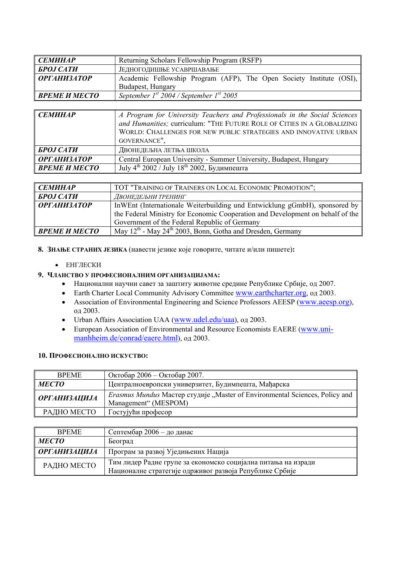| <b>СЕМИНАР</b>          | Returning Scholars Fellowship Program (RSFP)                         |
|-------------------------|----------------------------------------------------------------------|
| <b><i>GPOJ CATH</i></b> | ЈЕДНОГОДИШЊЕ УСАВРШАВАЊЕ                                             |
| <b>ОРГАНИЗАТОР</b>      | Academic Fellowship Program (AFP), The Open Society Institute (OSI), |
|                         | Budapest, Hungary                                                    |
| ВРЕМЕ И МЕСТО           | September $1^{st}$ 2004 / September $1^{st}$ 2005                    |

| <b>СЕМИНАР</b>          | A Program for University Teachers and Professionals in the Social Sciences<br>and Humanities; curriculum: "THE FUTURE ROLE OF CITIES IN A GLOBALIZING  <br>WORLD: CHALLENGES FOR NEW PUBLIC STRATEGIES AND INNOVATIVE URBAN<br>GOVERNANCE", |
|-------------------------|---------------------------------------------------------------------------------------------------------------------------------------------------------------------------------------------------------------------------------------------|
| <b><i>GPOJ CATH</i></b> | ДВОНЕДЕЉНА ЛЕТЊА ШКОЛА                                                                                                                                                                                                                      |
| <b>ОРГАНИЗАТОР</b>      | Central European University - Summer University, Budapest, Hungary                                                                                                                                                                          |
| ВРЕМЕ И МЕСТО           | July 4 <sup>th</sup> 2002 / July 18 <sup>th</sup> 2002, Будимпешта                                                                                                                                                                          |

| <b>СЕМИНАР</b>     | TOT "TRAINING OF TRAINERS ON LOCAL ECONOMIC PROMOTION";                            |
|--------------------|------------------------------------------------------------------------------------|
| <b>БРОЈ САТИ</b>   | ДВОНЕДЕЉНИ ТРЕНИНГ                                                                 |
| <b>ОРГАНИЗАТОР</b> | In WEnt (Internationale Weiterbuilding und Entwicklung gGmbH), sponsored by        |
|                    | the Federal Ministry for Economic Cooperation and Development on behalf of the     |
|                    | Government of the Federal Republic of Germany                                      |
| ВРЕМЕ И МЕСТО      | May 12 <sup>th</sup> - May 24 <sup>th</sup> 2003, Bonn, Gotha and Dresden, Germany |

**8. ЗНАЊЕ СТРАНИХ ЈЕЗИКА** (навести језике које говорите, читате и/или пишете)**:**

#### • ЕНГЛЕСКИ

# **9. ЧЛАНСТВО У ПРОФЕСИОНАЛНИМ ОРГАНИЗАЦИЈАМА:**

- Национални научни савет за заштиту животне средине Републике Србије, од 2007.
- Earth Charter Local Community Advisory Committee www.earthcharter.org, од 2003.
- Association of Environmental Engineering and Science Professors AEESP (www.aeesp.org), од 2003.
- Urban Affairs Association UAA (www.udel.edu/uaa), од 2003.
- European Association of Environmental and Resource Economists EAERE (www.unimanhheim.de/conrad/eaere.html), од 2003.

# **10. ПРОФЕСИОНАЛНО ИСКУСТВО:**

| <b>BPEME</b>        | Октобар 2006 – Октобар 2007.                                                                               |
|---------------------|------------------------------------------------------------------------------------------------------------|
| <b>MECTO</b>        | Централноевропски универзитет, Будимпешта, Мађарска                                                        |
| <b>ОРГАНИЗАЦИЈА</b> | <i>Erasmus Mundus</i> Macrep студије "Master of Environmental Sciences, Policy and<br>Management" (MESPOM) |
| РАДНО МЕСТО         | Гостујући професор                                                                                         |

| <b>BPEME</b>        | Септембар 2006 — до данас                                     |
|---------------------|---------------------------------------------------------------|
| <b>MECTO</b>        | Београд                                                       |
| <b>ОРГАНИЗАЦИЈА</b> | Програм за развој Уједињених Нација                           |
| РАДНО МЕСТО         | Тим лидер Радне групе за економско социјална питања на изради |
|                     | Националне стратегије одрживог развоја Републике Србије       |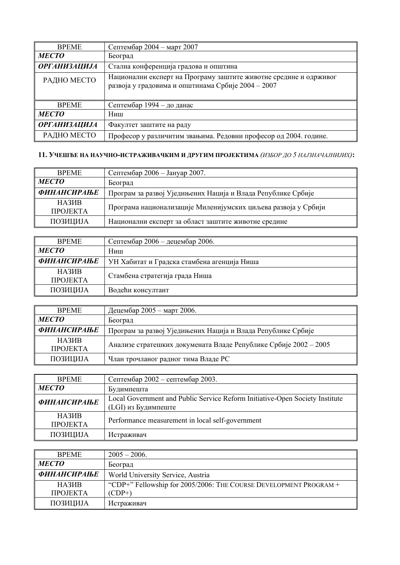| <b>BPEME</b>        | Септембар 2004 - март 2007                                                                                              |
|---------------------|-------------------------------------------------------------------------------------------------------------------------|
| <b>MECTO</b>        | Београд                                                                                                                 |
| <b>ОРГАНИЗАЦИЈА</b> | Стална конференција градова и општина                                                                                   |
| РАДНО МЕСТО         | Национални експерт на Програму заштите животне средине и одрживог<br>развоја у градовима и општинама Србије 2004 - 2007 |
| <b>BPEME</b>        | Септембар 1994 – до данас                                                                                               |
| <b>MECTO</b>        | Ниш                                                                                                                     |
| <b>ОРГАНИЗАЦИЈА</b> | Факултет заштите на раду                                                                                                |
| РАДНО МЕСТО         | Професор у различитим звањима. Редовни професор од 2004. године.                                                        |

# **11. УЧЕШЋЕ НА НАУЧНО-ИСТРАЖИВАЧКИМ И ДРУГИМ ПРОЈЕКТИМА** *(ИЗБОР ДО 5 НАЈЗНАЧАЈНИЈИХ)***:**

| Септембар 2006 - Јануар 2007.                                  |
|----------------------------------------------------------------|
| Београд                                                        |
| Програм за развој Уједињених Нација и Влада Републике Србије   |
| Програма национализације Миленијумских циљева развоја у Србији |
|                                                                |
|                                                                |

| <b>BPEME</b>       | Септембар 2006 - децембар 2006.             |
|--------------------|---------------------------------------------|
| <b>MECTO</b>       | Ниш                                         |
| <b>ФИНАНСИРАЊЕ</b> | УН Хабитат и Градска стамбена агенција Ниша |
| <b>НАЗИВ</b>       | Стамбена стратегија града Ниша              |
| <b>TIPOJEKTA</b>   |                                             |
| ПОЗИЦИЈА           | Водећи консултант                           |

| <b>BPEME</b>                       | Децембар 2005 - март 2006.                                       |
|------------------------------------|------------------------------------------------------------------|
| <b>MECTO</b>                       | Београд                                                          |
| <b>ФИНАНСИРАЊЕ</b>                 | Програм за развој Уједињених Нација и Влада Републике Србије     |
| HA3 <i>H</i> B<br><b>TIPOJEKTA</b> | Анализе стратешких докумената Владе Републике Србије 2002 - 2005 |
| ПОЗИЦИЈА                           | Члан трочланог радног тима Владе РС                              |

| <b>BPEME</b>                            | Септембар 2002 – септембар 2003.                                                                    |
|-----------------------------------------|-----------------------------------------------------------------------------------------------------|
| <b>MECTO</b>                            | Будимпешта                                                                                          |
| <b>ФИНАНСИРАЊЕ</b>                      | Local Government and Public Service Reform Initiative-Open Society Institute<br>(LGI) из Будимпеште |
| <b>НАЗИВ</b><br><b><i>IIPOJEKTA</i></b> | Performance measurement in local self-government                                                    |
| ПОЗИЦИЈА                                | Истраживач                                                                                          |

| <b>BPEME</b>            | $2005 - 2006$ .                                                   |
|-------------------------|-------------------------------------------------------------------|
| <b>MECTO</b>            | Београд                                                           |
| <b>ФИНАНСИРАЊЕ</b>      | World University Service, Austria                                 |
| HA3 <sub>H</sub> B      | "CDP+" Fellowship for 2005/2006: THE COURSE DEVELOPMENT PROGRAM + |
| <b><i>IIPOJEKTA</i></b> | $(CDP+)$                                                          |
| ПОЗИЦИЈА                | Истраживач                                                        |